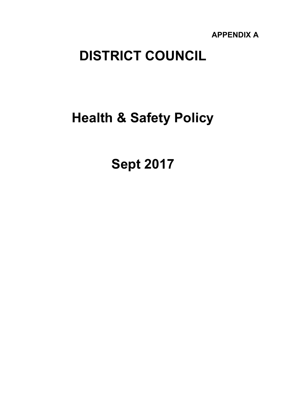**APPENDIX A** 

# **DISTRICT COUNCIL**

# **Health & Safety Policy**

**Sept 2017**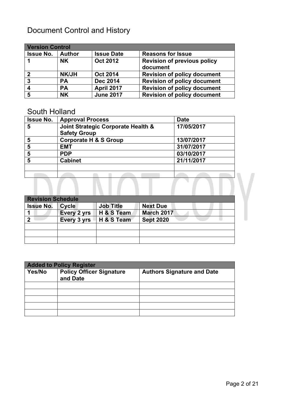# Document Control and History

| <b>Version Control</b>  |               |                   |                                                |
|-------------------------|---------------|-------------------|------------------------------------------------|
| <b>Issue No.</b>        | <b>Author</b> | <b>Issue Date</b> | <b>Reasons for Issue</b>                       |
|                         | <b>NK</b>     | <b>Oct 2012</b>   | <b>Revision of previous policy</b><br>document |
| $\overline{2}$          | <b>NK/JH</b>  | <b>Oct 2014</b>   | <b>Revision of policy document</b>             |
| $\boldsymbol{3}$        | PА            | <b>Dec 2014</b>   | <b>Revision of policy document</b>             |
| $\overline{\mathbf{4}}$ | <b>PA</b>     | <b>April 2017</b> | <b>Revision of policy document</b>             |
| $\overline{\mathbf{5}}$ | <b>NK</b>     | <b>June 2017</b>  | <b>Revision of policy document</b>             |

#### South Holland

| <b>Issue No.</b> | <b>Approval Process</b>                                   | <b>Date</b> |
|------------------|-----------------------------------------------------------|-------------|
| 5                | Joint Strategic Corporate Health &<br><b>Safety Group</b> | 17/05/2017  |
| 5                | <b>Corporate H &amp; S Group</b>                          | 13/07/2017  |
| 5                | <b>EMT</b>                                                | 31/07/2017  |
| 5                | <b>PDP</b>                                                | 03/10/2017  |
| 5                | <b>Cabinet</b>                                            | 21/11/2017  |
|                  |                                                           |             |
|                  |                                                           |             |
|                  |                                                           |             |

| <b>Revision Schedule</b> |              |                  |                   |  |
|--------------------------|--------------|------------------|-------------------|--|
| <b>Issue No.</b>         | <b>Cycle</b> | <b>Job Title</b> | <b>Next Due</b>   |  |
|                          | Every 2 yrs  | H & S Team       | <b>March 2017</b> |  |
| 2                        | Every 3 yrs  | H & S Team       | <b>Sept 2020</b>  |  |
|                          |              |                  |                   |  |
|                          |              |                  |                   |  |
|                          |              |                  |                   |  |

| <b>Added to Policy Register</b> |                                             |                                   |  |
|---------------------------------|---------------------------------------------|-----------------------------------|--|
| Yes/No                          | <b>Policy Officer Signature</b><br>and Date | <b>Authors Signature and Date</b> |  |
|                                 |                                             |                                   |  |
|                                 |                                             |                                   |  |
|                                 |                                             |                                   |  |
|                                 |                                             |                                   |  |
|                                 |                                             |                                   |  |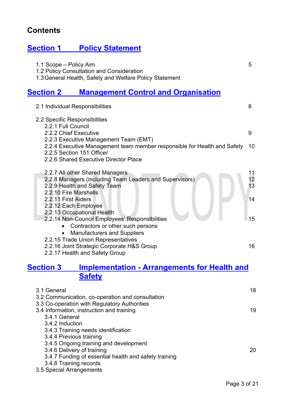# **Contents**

# **[Section](#page-4-0) 1 [Policy](#page-4-0) [Statement](#page-4-0)**

| 1.1 Scope - Policy Aim<br>1.2 Policy Consultation and Consideration<br>1.3 General Health, Safety and Welfare Policy Statement                      | 5                          |
|-----------------------------------------------------------------------------------------------------------------------------------------------------|----------------------------|
| <b>Management Control and Organisation</b><br><b>Section 2</b>                                                                                      |                            |
| 2.1 Individual Responsibilities                                                                                                                     | 8                          |
| 2.2 Specific Responsibilities                                                                                                                       |                            |
| 2.2.1 Full Council<br>2.2.2 Chief Executive                                                                                                         | 9                          |
| 2.2.3 Executive Management Team (EMT)<br>2.2.4 Executive Management team member responsible for Health and Safety<br>2.2.5 Section 151 Officer      | 10                         |
| 2.2.6 Shared Executive Director Place                                                                                                               |                            |
| 2.2.7 All other Shared Managers<br>2.2.8 Managers (including Team Leaders and Supervisors)<br>2.2.9 Health and Safety Team<br>2.2.10 Fire Marshalls | 1 <sub>1</sub><br>12<br>13 |
| 2.2.11 First Aiders<br>2.2.12 Each Employee<br>2.2.13 Occupational Health                                                                           | 14                         |
| 2.2.14 Non-Council Employees' Responsibilities                                                                                                      | 15                         |
| Contractors or other such persons<br><b>Manufacturers and Suppliers</b>                                                                             |                            |
| 2.2.15 Trade Union Representatives<br>2.2.16 Joint Strategic Corporate H&S Group                                                                    | 16                         |

2.2.17 Health and Safety Group

# **Section 3 [Implementat](#page-17-0)ion - [Arrangem](#page-17-0)ents for [Health](#page-17-0) and [Safety](#page-17-0)**

| 3.1 General<br>3.2 Communication, co-operation and consultation | 18 |
|-----------------------------------------------------------------|----|
| 3.3 Co-operation with Regulatory Authorities                    |    |
| 3.4 Information, instruction and training                       | 19 |
| 3.4.1 General                                                   |    |
| 3.4.2 Induction                                                 |    |
|                                                                 |    |
| 3.4.3 Training needs identification                             |    |
| 3.4.4 Previous training                                         |    |
| 3.4.5 Ongoing training and development                          |    |
| 3.4.6 Delivery of training                                      | 20 |
| 3.4.7 Funding of essential health and safety training           |    |
| 3.4.8 Training records                                          |    |
| 3.5 Special Arrangements                                        |    |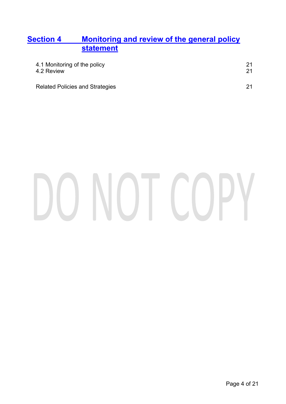## **Section 4 [Monitoring](#page-20-0) [and](#page-20-0) review of the [general](#page-20-0) policy [statement](#page-20-0)**

| 4.1 Monitoring of the policy<br>4.2 Review | 21 |
|--------------------------------------------|----|
| <b>Related Policies and Strategies</b>     | 21 |

# DO NOT COPY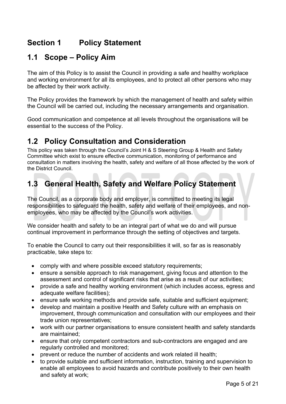# **Section 1 Policy Statement**

# <span id="page-4-0"></span>**1.1 Scope – Policy Aim**

The aim of this Policy is to assist the Council in providing a safe and healthy workplace and working environment for all its employees, and to protect all other persons who may be affected by their work activity.

The Policy provides the framework by which the management of health and safety within the Council will be carried out, including the necessary arrangements and organisation.

Good communication and competence at all levels throughout the organisations will be essential to the success of the Policy.

# **1.2 Policy Consultation and Consideration**

This policy was taken through the Council's Joint H & S Steering Group & Health and Safety Committee which exist to ensure effective communication, monitoring of performance and consultation in matters involving the health, safety and welfare of all those affected by the work of the District Council.

# **1.3 General Health, Safety and Welfare Policy Statement**

The Council, as a corporate body and employer, is committed to meeting its legal responsibilities to safeguard the health, safety and welfare of their employees, and nonemployees, who may be affected by the Council's work activities.

We consider health and safety to be an integral part of what we do and will pursue continual improvement in performance through the setting of objectives and targets.

To enable the Council to carry out their responsibilities it will, so far as is reasonably practicable, take steps to:

- comply with and where possible exceed statutory requirements:
- ensure a sensible approach to risk management, giving focus and attention to the assessment and control of significant risks that arise as a result of our activities;
- provide a safe and healthy working environment (which includes access, egress and adequate welfare facilities);
- ensure safe working methods and provide safe, suitable and sufficient equipment;
- develop and maintain a positive Health and Safety culture with an emphasis on improvement, through communication and consultation with our employees and their trade union representatives;
- work with our partner organisations to ensure consistent health and safety standards are maintained;
- ensure that only competent contractors and sub-contractors are engaged and are regularly controlled and monitored;
- prevent or reduce the number of accidents and work related ill health;
- to provide suitable and sufficient information, instruction, training and supervision to enable all employees to avoid hazards and contribute positively to their own health and safety at work;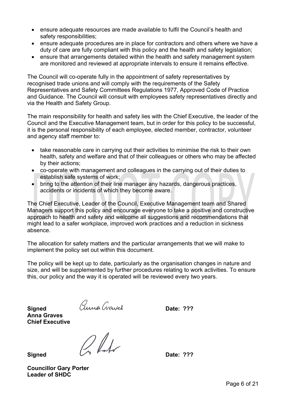- ensure adequate resources are made available to fulfil the Council's health and safety responsibilities;
- ensure adequate procedures are in place for contractors and others where we have a duty of care are fully compliant with this policy and the health and safety legislation;
- ensure that arrangements detailed within the health and safety management system are monitored and reviewed at appropriate intervals to ensure it remains effective.

The Council will co-operate fully in the appointment of safety representatives by recognised trade unions and will comply with the requirements of the Safety Representatives and Safety Committees Regulations 1977, Approved Code of Practice and Guidance. The Council will consult with employees safety representatives directly and via the Health and Safety Group.

The main responsibility for health and safety lies with the Chief Executive, the leader of the Council and the Executive Management team, but in order for this policy to be successful, it is the personal responsibility of each employee, elected member, contractor, volunteer and agency staff member to:

- take reasonable care in carrying out their activities to minimise the risk to their own health, safety and welfare and that of their colleagues or others who may be affected by their actions;
- co-operate with management and colleagues in the carrying out of their duties to establish safe systems of work;
- bring to the attention of their line manager any hazards, dangerous practices, accidents or incidents of which they become aware.

The Chief Executive, Leader of the Council, Executive Management team and Shared Managers support this policy and encourage everyone to take a positive and constructive approach to health and safety and welcome all suggestions and recommendations that might lead to a safer workplace, improved work practices and a reduction in sickness absence.

The allocation for safety matters and the particular arrangements that we will make to implement the policy set out within this document.

The policy will be kept up to date, particularly as the organisation changes in nature and size, and will be supplemented by further procedures relating to work activities. To ensure this, our policy and the way it is operated will be reviewed every two years.

**Anna Graves Chief Executive**

Signed *Curves Chief Executive*<br>
Chief Executive<br>
Cinnad<br>
Curve Chief Canada **Contract Contract Parties Signed Date: ???**

**Councillor Gary Porter Leader of SHDC**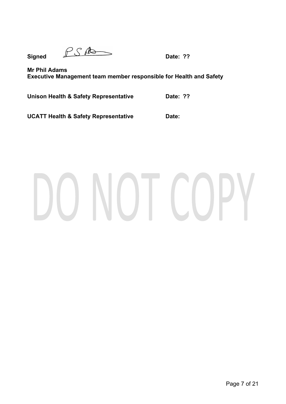$\mathbf{Signed}$   $\mathbb{P} \mathbb{S}$   $\mathbb{A}$   $\longrightarrow$  Date: ??

**Mr Phil Adams Executive Management team member responsible for Health and Safety**

**Unison Health & Safety Representative Date: ??**

**UCATT Health & Safety Representative Date:**

# VOT COPY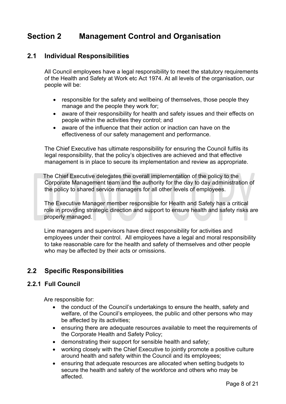# **Section 2 Management Control and Organisation**

#### <span id="page-7-0"></span>**2.1 Individual Responsibilities**

All Council employees have a legal responsibility to meet the statutory requirements of the Health and Safety at Work etc Act 1974. At all levels of the organisation, our people will be:

- responsible for the safety and wellbeing of themselves, those people they manage and the people they work for;
- aware of their responsibility for health and safety issues and their effects on people within the activities they control; and
- aware of the influence that their action or inaction can have on the effectiveness of our safety management and performance.

The Chief Executive has ultimate responsibility for ensuring the Council fulfils its legal responsibility, that the policy's objectives are achieved and that effective management is in place to secure its implementation and review as appropriate.

 The Chief Executive delegates the overall implementation of the policy to the Corporate Management team and the authority for the day to day administration of the policy to shared service managers for all other levels of employees.

The Executive Manager member responsible for Health and Safety has a critical role in providing strategic direction and support to ensure health and safety risks are properly managed.

Line managers and supervisors have direct responsibility for activities and employees under their control. All employees have a legal and moral responsibility to take reasonable care for the health and safety of themselves and other people who may be affected by their acts or omissions.

#### **2.2 Specific Responsibilities**

#### **2.2.1 Full Council**

Are responsible for:

- the conduct of the Council's undertakings to ensure the health, safety and welfare, of the Council's employees, the public and other persons who may be affected by its activities;
- ensuring there are adequate resources available to meet the requirements of the Corporate Health and Safety Policy;
- demonstrating their support for sensible health and safety;
- working closely with the Chief Executive to jointly promote a positive culture around health and safety within the Council and its employees;
- ensuring that adequate resources are allocated when setting budgets to secure the health and safety of the workforce and others who may be affected.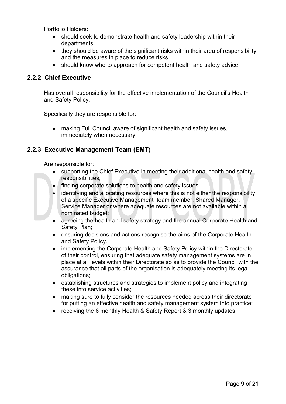Portfolio Holders:

- should seek to demonstrate health and safety leadership within their departments
- they should be aware of the significant risks within their area of responsibility and the measures in place to reduce risks
- should know who to approach for competent health and safety advice.

#### **2.2.2 Chief Executive**

Has overall responsibility for the effective implementation of the Council's Health and Safety Policy.

Specifically they are responsible for:

 making Full Council aware of significant health and safety issues, immediately when necessary.

#### **2.2.3 Executive Management Team (EMT)**

Are responsible for:

- supporting the Chief Executive in meeting their additional health and safety responsibilities;
- finding corporate solutions to health and safety issues;
- identifying and allocating resources where this is not either the responsibility of a specific Executive Management team member, Shared Manager, Service Manager or where adequate resources are not available within a nominated budget;
- agreeing the health and safety strategy and the annual Corporate Health and Safety Plan;
- ensuring decisions and actions recognise the aims of the Corporate Health and Safety Policy.
- implementing the Corporate Health and Safety Policy within the Directorate of their control, ensuring that adequate safety management systems are in place at all levels within their Directorate so as to provide the Council with the assurance that all parts of the organisation is adequately meeting its legal obligations;
- establishing structures and strategies to implement policy and integrating these into service activities;
- making sure to fully consider the resources needed across their directorate for putting an effective health and safety management system into practice;
- receiving the 6 monthly Health & Safety Report & 3 monthly updates.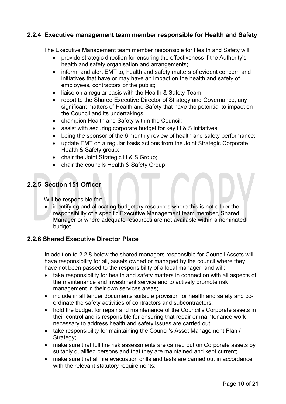#### **2.2.4 Executive management team member responsible for Health and Safety**

The Executive Management team member responsible for Health and Safety will:

- provide strategic direction for ensuring the effectiveness if the Authority's health and safety organisation and arrangements;
- inform, and alert EMT to, health and safety matters of evident concern and initiatives that have or may have an impact on the health and safety of employees, contractors or the public;
- liaise on a regular basis with the Health & Safety Team;
- report to the Shared Executive Director of Strategy and Governance, any significant matters of Health and Safety that have the potential to impact on the Council and its undertakings;
- champion Health and Safety within the Council;
- assist with securing corporate budget for key H & S initiatives;
- being the sponsor of the 6 monthly review of health and safety performance;
- update EMT on a regular basis actions from the Joint Strategic Corporate Health & Safety group;
- chair the Joint Strategic H & S Group;
- chair the councils Health & Safety Group.

#### **2.2.5 Section 151 Officer**

Will be responsible for:

 identifying and allocating budgetary resources where this is not either the responsibility of a specific Executive Management team member, Shared Manager or where adequate resources are not available within a nominated budget.

#### **2.2.6 Shared Executive Director Place**

In addition to 2.2.8 below the shared managers responsible for Council Assets will have responsibility for all, assets owned or managed by the council where they have not been passed to the responsibility of a local manager, and will:

- take responsibility for health and safety matters in connection with all aspects of the maintenance and investment service and to actively promote risk management in their own services areas;
- include in all tender documents suitable provision for health and safety and coordinate the safety activities of contractors and subcontractors;
- hold the budget for repair and maintenance of the Council's Corporate assets in their control and is responsible for ensuring that repair or maintenance work necessary to address health and safety issues are carried out;
- take responsibility for maintaining the Council's Asset Management Plan / Strategy;
- make sure that full fire risk assessments are carried out on Corporate assets by suitably qualified persons and that they are maintained and kept current;
- make sure that all fire evacuation drills and tests are carried out in accordance with the relevant statutory requirements;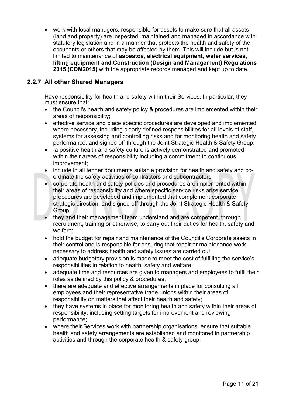work with local managers, responsible for assets to make sure that all assets (land and property) are inspected, maintained and managed in accordance with statutory legislation and in a manner that protects the health and safety of the occupants or others that may be affected by them. This will include but is not limited to maintenance of **asbestos**, **electrical equipment**, **water services, lifting equipment and Construction (Design and Management) Regulations 2015 (CDM2015)** with the appropriate records managed and kept up to date.

#### **2.2.7 All other Shared Managers**

Have responsibility for health and safety within their Services. In particular, they must ensure that:

- the Council's health and safety policy & procedures are implemented within their areas of responsibility;
- effective service and place specific procedures are developed and implemented where necessary, including clearly defined responsibilities for all levels of staff, systems for assessing and controlling risks and for monitoring health and safety performance, and signed off through the Joint Strategic Health & Safety Group;
- a positive health and safety culture is actively demonstrated and promoted within their areas of responsibility including a commitment to continuous improvement;
- include in all tender documents suitable provision for health and safety and coordinate the safety activities of contractors and subcontractors;
- corporate health and safety policies and procedures are implemented within their areas of responsibility and where specific service risks arise service procedures are developed and implemented that complement corporate strategic direction, and signed off through the Joint Strategic Health & Safety Group;
- they and their management team understand and are competent, through recruitment, training or otherwise, to carry out their duties for health, safety and welfare;
- hold the budget for repair and maintenance of the Council's Corporate assets in their control and is responsible for ensuring that repair or maintenance work necessary to address health and safety issues are carried out;
- adequate budgetary provision is made to meet the cost of fulfilling the service's responsibilities in relation to health, safety and welfare;
- adequate time and resources are given to managers and employees to fulfil their roles as defined by this policy & procedures;
- there are adequate and effective arrangements in place for consulting all employees and their representative trade unions within their areas of responsibility on matters that affect their health and safety;
- they have systems in place for monitoring health and safety within their areas of responsibility, including setting targets for improvement and reviewing performance;
- where their Services work with partnership organisations, ensure that suitable health and safety arrangements are established and monitored in partnership activities and through the corporate health & safety group.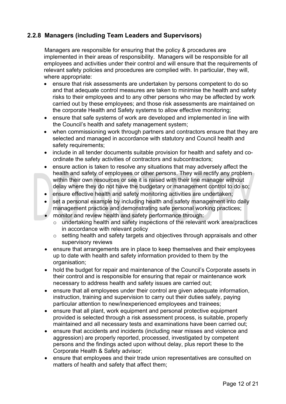#### **2.2.8 Managers (including Team Leaders and Supervisors)**

Managers are responsible for ensuring that the policy & procedures are implemented in their areas of responsibility. Managers will be responsible for all employees and activities under their control and will ensure that the requirements of relevant safety policies and procedures are complied with. In particular, they will, where appropriate:

- ensure that risk assessments are undertaken by persons competent to do so and that adequate control measures are taken to minimise the health and safety risks to their employees and to any other persons who may be affected by work carried out by these employees; and those risk assessments are maintained on the corporate Health and Safety systems to allow effective monitoring;
- ensure that safe systems of work are developed and implemented in line with the Council's health and safety management system;
- when commissioning work through partners and contractors ensure that they are selected and managed in accordance with statutory and Council health and safety requirements;
- include in all tender documents suitable provision for health and safety and coordinate the safety activities of contractors and subcontractors;
- ensure action is taken to resolve any situations that may adversely affect the health and safety of employees or other persons. They will rectify any problem within their own resources or see it is raised with their line manager without delay where they do not have the budgetary or management control to do so;
- ensure effective health and safety monitoring activities are undertaken;
- set a personal example by including health and safety management into daily management practice and demonstrating safe personal working practices;
- monitor and review health and safety performance through:
	- o undertaking health and safety inspections of the relevant work area/practices in accordance with relevant policy
	- o setting health and safety targets and objectives through appraisals and other supervisory reviews
- ensure that arrangements are in place to keep themselves and their employees up to date with health and safety information provided to them by the organisation;
- hold the budget for repair and maintenance of the Council's Corporate assets in their control and is responsible for ensuring that repair or maintenance work necessary to address health and safety issues are carried out;
- ensure that all employees under their control are given adequate information, instruction, training and supervision to carry out their duties safely, paying particular attention to new/inexperienced employees and trainees;
- ensure that all plant, work equipment and personal protective equipment provided is selected through a risk assessment process, is suitable, properly maintained and all necessary tests and examinations have been carried out;
- ensure that accidents and incidents (including near misses and violence and aggression) are properly reported, processed, investigated by competent persons and the findings acted upon without delay, plus report these to the Corporate Health & Safety advisor;
- ensure that employees and their trade union representatives are consulted on matters of health and safety that affect them;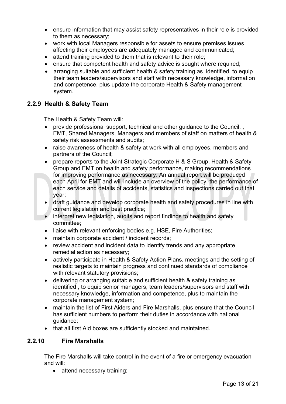- ensure information that may assist safety representatives in their role is provided to them as necessary;
- work with local Managers responsible for assets to ensure premises issues affecting their employees are adequately managed and communicated;
- attend training provided to them that is relevant to their role;
- ensure that competent health and safety advice is sought where required;
- arranging suitable and sufficient health & safety training as identified, to equip their team leaders/supervisors and staff with necessary knowledge, information and competence, plus update the corporate Health & Safety management system.

#### **2.2.9 Health & Safety Team**

The Health & Safety Team will:

- provide professional support, technical and other guidance to the Council, , EMT, Shared Managers, Managers and members of staff on matters of health & safety risk assessments and audits;
- raise awareness of health & safety at work with all employees, members and partners of the Council;
- prepare reports to the Joint Strategic Corporate H & S Group, Health & Safety Group and EMT on health and safety performance, making recommendations for improving performance as necessary. An annual report will be produced each April for EMT and will include an overview of the policy, the performance of each service and details of accidents, statistics and inspections carried out that year;
- draft guidance and develop corporate health and safety procedures in line with current legislation and best practice;
- interpret new legislation, audits and report findings to health and safety committee;
- liaise with relevant enforcing bodies e.g. HSE, Fire Authorities;
- maintain corporate accident / incident records;
- review accident and incident data to identify trends and any appropriate remedial action as necessary;
- actively participate in Health & Safety Action Plans, meetings and the setting of realistic targets to maintain progress and continued standards of compliance with relevant statutory provisions;
- delivering or arranging suitable and sufficient health & safety training as identified , to equip senior managers, team leaders/supervisors and staff with necessary knowledge, information and competence, plus to maintain the corporate management system;
- maintain the list of First Aiders and Fire Marshalls, plus ensure that the Council has sufficient numbers to perform their duties in accordance with national guidance;
- that all first Aid boxes are sufficiently stocked and maintained.

#### **2.2.10 Fire Marshalls**

The Fire Marshalls will take control in the event of a fire or emergency evacuation and will:

• attend necessary training;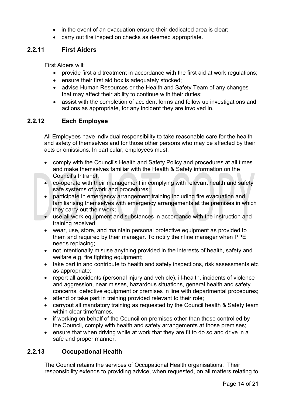- in the event of an evacuation ensure their dedicated area is clear:
- carry out fire inspection checks as deemed appropriate.

#### **2.2.11 First Aiders**

First Aiders will:

- provide first aid treatment in accordance with the first aid at work regulations;
- ensure their first aid box is adequately stocked;
- advise Human Resources or the Health and Safety Team of any changes that may affect their ability to continue with their duties;
- assist with the completion of accident forms and follow up investigations and actions as appropriate, for any incident they are involved in.

#### **2.2.12 Each Employee**

All Employees have individual responsibility to take reasonable care for the health and safety of themselves and for those other persons who may be affected by their acts or omissions. In particular, employees must:

- comply with the Council's Health and Safety Policy and procedures at all times and make themselves familiar with the Health & Safety information on the Council's Intranet;
- co-operate with their management in complying with relevant health and safety safe systems of work and procedures;
- participate in emergency arrangement training including fire evacuation and familiarising themselves with emergency arrangements at the premises in which they carry out their work;
- use all work equipment and substances in accordance with the instruction and training received;
- wear, use, store, and maintain personal protective equipment as provided to them and required by their manager. To notify their line manager when PPE needs replacing;
- not intentionally misuse anything provided in the interests of health, safety and welfare e.g. fire fighting equipment;
- take part in and contribute to health and safety inspections, risk assessments etc as appropriate;
- report all accidents (personal injury and vehicle), ill-health, incidents of violence and aggression, near misses, hazardous situations, general health and safety concerns, defective equipment or premises in line with departmental procedures;
- attend or take part in training provided relevant to their role;
- carryout all mandatory training as requested by the Council health & Safety team within clear timeframes.
- if working on behalf of the Council on premises other than those controlled by the Council, comply with health and safety arrangements at those premises;
- ensure that when driving while at work that they are fit to do so and drive in a safe and proper manner.

#### **2.2.13 Occupational Health**

The Council retains the services of Occupational Health organisations. Their responsibility extends to providing advice, when requested, on all matters relating to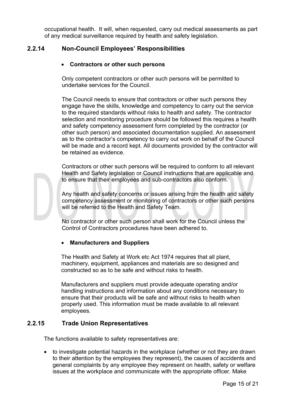occupational health. It will, when requested, carry out medical assessments as part of any medical surveillance required by health and safety legislation.

#### **2.2.14 Non-Council Employees' Responsibilities**

#### **Contractors or other such persons**

Only competent contractors or other such persons will be permitted to undertake services for the Council.

The Council needs to ensure that contractors or other such persons they engage have the skills, knowledge and competency to carry out the service to the required standards without risks to health and safety. The contractor selection and monitoring procedure should be followed this requires a health and safety competency assessment form completed by the contractor (or other such person) and associated documentation supplied. An assessment as to the contractor's competency to carry out work on behalf of the Council will be made and a record kept. All documents provided by the contractor will be retained as evidence.

Contractors or other such persons will be required to conform to all relevant Health and Safety legislation or Council instructions that are applicable and to ensure that their employees and sub-contractors also conform.

Any health and safety concerns or issues arising from the health and safety competency assessment or monitoring of contractors or other such persons will be referred to the Health and Safety Team.

No contractor or other such person shall work for the Council unless the Control of Contractors procedures have been adhered to.

#### **Manufacturers and Suppliers**

The Health and Safety at Work etc Act 1974 requires that all plant, machinery, equipment, appliances and materials are so designed and constructed so as to be safe and without risks to health.

Manufacturers and suppliers must provide adequate operating and/or handling instructions and information about any conditions necessary to ensure that their products will be safe and without risks to health when properly used. This information must be made available to all relevant employees.

#### **2.2.15 Trade Union Representatives**

The functions available to safety representatives are:

• to investigate potential hazards in the workplace (whether or not they are drawn to their attention by the employees they represent), the causes of accidents and general complaints by any employee they represent on health, safety or welfare issues at the workplace and communicate with the appropriate officer. Make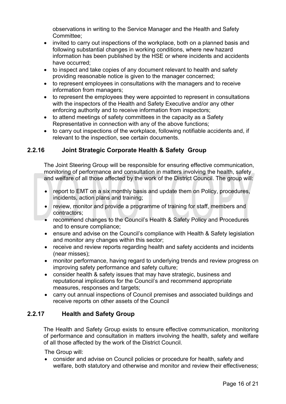observations in writing to the Service Manager and the Health and Safety Committee;

- invited to carry out inspections of the workplace, both on a planned basis and following substantial changes in working conditions, where new hazard information has been published by the HSE or where incidents and accidents have occurred;
- to inspect and take copies of any document relevant to health and safety providing reasonable notice is given to the manager concerned;
- to represent employees in consultations with the managers and to receive information from managers;
- to represent the employees they were appointed to represent in consultations with the inspectors of the Health and Safety Executive and/or any other enforcing authority and to receive information from inspectors;
- to attend meetings of safety committees in the capacity as a Safety Representative in connection with any of the above functions;
- to carry out inspections of the workplace, following notifiable accidents and, if relevant to the inspection, see certain documents.

#### **2.2.16 Joint Strategic Corporate Health & Safety Group**

The Joint Steering Group will be responsible for ensuring effective communication, monitoring of performance and consultation in matters involving the health, safety and welfare of all those affected by the work of the District Council. The group will:

- report to EMT on a six monthly basis and update them on Policy, procedures, incidents, action plans and training;
- review, monitor and provide a programme of training for staff, members and contractors;
- recommend changes to the Council's Health & Safety Policy and Procedures and to ensure compliance;
- ensure and advise on the Council's compliance with Health & Safety legislation and monitor any changes within this sector;
- receive and review reports regarding health and safety accidents and incidents (near misses);
- monitor performance, having regard to underlying trends and review progress on improving safety performance and safety culture;
- consider health & safety issues that may have strategic, business and reputational implications for the Council's and recommend appropriate measures, responses and targets;
- carry out annual inspections of Council premises and associated buildings and receive reports on other assets of the Council

#### **2.2.17 Health and Safety Group**

The Health and Safety Group exists to ensure effective communication, monitoring of performance and consultation in matters involving the health, safety and welfare of all those affected by the work of the District Council.

The Group will:

 consider and advise on Council policies or procedure for health, safety and welfare, both statutory and otherwise and monitor and review their effectiveness;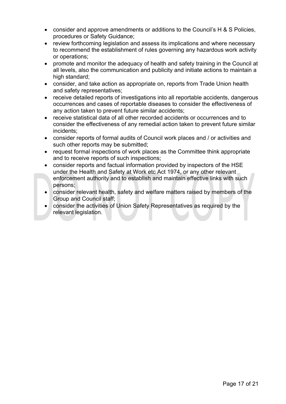- consider and approve amendments or additions to the Council's H & S Policies, procedures or Safety Guidance;
- review forthcoming legislation and assess its implications and where necessary to recommend the establishment of rules governing any hazardous work activity or operations;
- promote and monitor the adequacy of health and safety training in the Council at all levels, also the communication and publicity and initiate actions to maintain a high standard;
- consider, and take action as appropriate on, reports from Trade Union health and safety representatives;
- receive detailed reports of investigations into all reportable accidents, dangerous occurrences and cases of reportable diseases to consider the effectiveness of any action taken to prevent future similar accidents;
- receive statistical data of all other recorded accidents or occurrences and to consider the effectiveness of any remedial action taken to prevent future similar incidents;
- consider reports of formal audits of Council work places and / or activities and such other reports may be submitted:
- request formal inspections of work places as the Committee think appropriate and to receive reports of such inspections;
- consider reports and factual information provided by inspectors of the HSE under the Health and Safety at Work etc Act 1974, or any other relevant enforcement authority and to establish and maintain effective links with such persons;
- consider relevant health, safety and welfare matters raised by members of the Group and Council staff;
- consider the activities of Union Safety Representatives as required by the relevant legislation.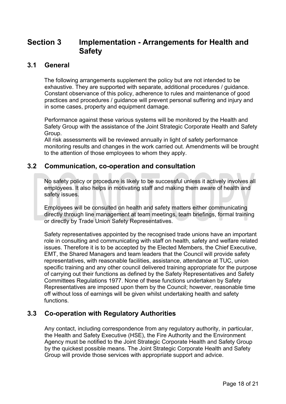## **Section 3 Implementation - Arrangements for Health and Safety**

#### <span id="page-17-0"></span>**3.1 General**

The following arrangements supplement the policy but are not intended to be exhaustive. They are supported with separate, additional procedures / guidance. Constant observance of this policy, adherence to rules and maintenance of good practices and procedures / guidance will prevent personal suffering and injury and in some cases, property and equipment damage.

Performance against these various systems will be monitored by the Health and Safety Group with the assistance of the Joint Strategic Corporate Health and Safety Group.

All risk assessments will be reviewed annually in light of safety performance monitoring results and changes in the work carried out. Amendments will be brought to the attention of those employees to whom they apply.

#### **3.2 Communication, co-operation and consultation**

No safety policy or procedure is likely to be successful unless it actively involves all employees. It also helps in motivating staff and making them aware of health and safety issues.

Employees will be consulted on health and safety matters either communicating directly through line management at team meetings, team briefings, formal training or directly by Trade Union Safety Representatives.

Safety representatives appointed by the recognised trade unions have an important role in consulting and communicating with staff on health, safety and welfare related issues. Therefore it is to be accepted by the Elected Members, the Chief Executive, EMT, the Shared Managers and team leaders that the Council will provide safety representatives, with reasonable facilities, assistance, attendance at TUC, union specific training and any other council delivered training appropriate for the purpose of carrying out their functions as defined by the Safety Representatives and Safety Committees Regulations 1977. None of these functions undertaken by Safety Representatives are imposed upon them by the Council; however, reasonable time off without loss of earnings will be given whilst undertaking health and safety functions.

#### **3.3 Co-operation with Regulatory Authorities**

Any contact, including correspondence from any regulatory authority, in particular, the Health and Safety Executive (HSE), the Fire Authority and the Environment Agency must be notified to the Joint Strategic Corporate Health and Safety Group by the quickest possible means. The Joint Strategic Corporate Health and Safety Group will provide those services with appropriate support and advice.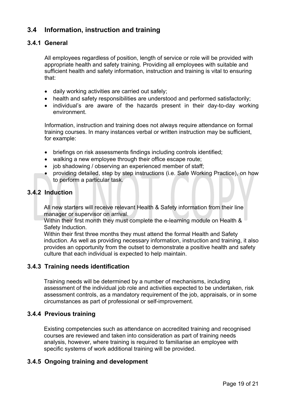#### **3.4 Information, instruction and training**

#### **3.4.1 General**

All employees regardless of position, length of service or role will be provided with appropriate health and safety training. Providing all employees with suitable and sufficient health and safety information, instruction and training is vital to ensuring that:

- daily working activities are carried out safely;
- health and safety responsibilities are understood and performed satisfactorily;
- individual's are aware of the hazards present in their day-to-day working environment.

Information, instruction and training does not always require attendance on formal training courses. In many instances verbal or written instruction may be sufficient, for example:

- briefings on risk assessments findings including controls identified;
- walking a new employee through their office escape route;
- job shadowing / observing an experienced member of staff;
- providing detailed, step by step instructions (i.e. Safe Working Practice), on how to perform a particular task.

#### **3.4.2 Induction**

All new starters will receive relevant Health & Safety information from their line manager or supervisor on arrival.

Within their first month they must complete the e-learning module on Health & Safety Induction.

Within their first three months they must attend the formal Health and Safety induction. As well as providing necessary information, instruction and training, it also provides an opportunity from the outset to demonstrate a positive health and safety culture that each individual is expected to help maintain.

#### **3.4.3 Training needs identification**

Training needs will be determined by a number of mechanisms, including assessment of the individual job role and activities expected to be undertaken, risk assessment controls, as a mandatory requirement of the job, appraisals, or in some circumstances as part of professional or self-improvement.

#### **3.4.4 Previous training**

Existing competencies such as attendance on accredited training and recognised courses are reviewed and taken into consideration as part of training needs analysis, however, where training is required to familiarise an employee with specific systems of work additional training will be provided.

#### **3.4.5 Ongoing training and development**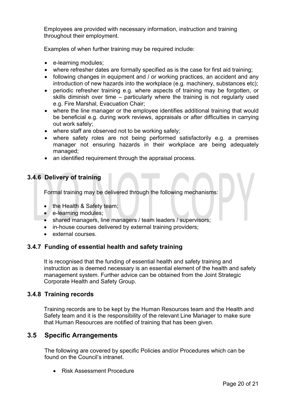Employees are provided with necessary information, instruction and training throughout their employment.

Examples of when further training may be required include:

- e-learning modules;
- where refresher dates are formally specified as is the case for first aid training;
- following changes in equipment and / or working practices, an accident and any introduction of new hazards into the workplace (e.g. machinery, substances etc);
- periodic refresher training e.g. where aspects of training may be forgotten, or skills diminish over time – particularly where the training is not regularly used e.g. Fire Marshal, Evacuation Chair;
- where the line manager or the employee identifies additional training that would be beneficial e.g. during work reviews, appraisals or after difficulties in carrying out work safely;
- where staff are observed not to be working safely;
- where safety roles are not being performed satisfactorily e.g. a premises manager not ensuring hazards in their workplace are being adequately managed;
- an identified requirement through the appraisal process.

#### **3.4.6 Delivery of training**

Formal training may be delivered through the following mechanisms:

- the Health & Safety team;
- e-learning modules;
- shared managers, line managers / team leaders / supervisors;
- in-house courses delivered by external training providers;
- external courses.

#### **3.4.7 Funding of essential health and safety training**

It is recognised that the funding of essential health and safety training and instruction as is deemed necessary is an essential element of the health and safety management system. Further advice can be obtained from the Joint Strategic Corporate Health and Safety Group.

#### **3.4.8 Training records**

Training records are to be kept by the Human Resources team and the Health and Safety team and it is the responsibility of the relevant Line Manager to make sure that Human Resources are notified of training that has been given.

#### **3.5 Specific Arrangements**

The following are covered by specific Policies and/or Procedures which can be found on the Council's intranet.

• Risk Assessment Procedure